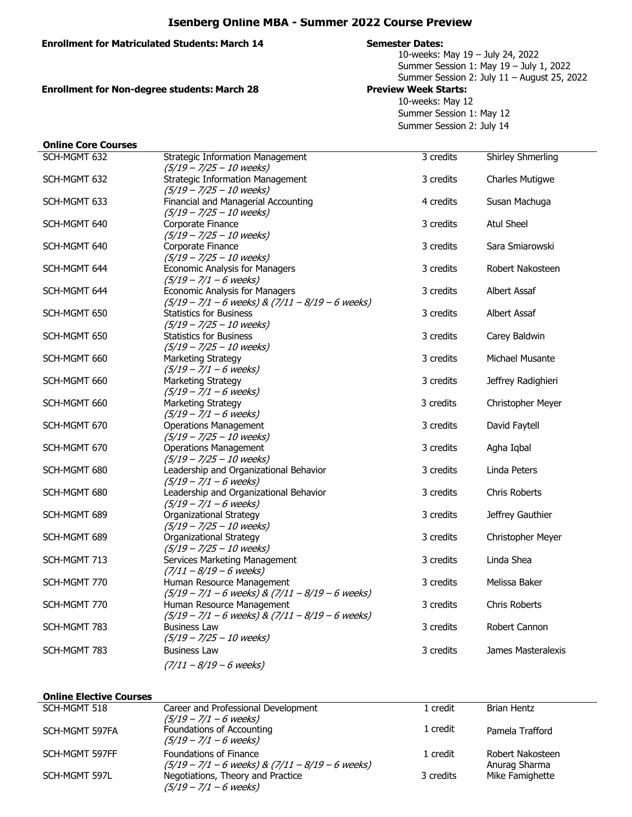# **Isenberg Online MBA - Summer 2022 Course Preview**

## **Enrollment for Matriculated Students: March 14 Semester Dates:**

10-weeks: May 19 – July 24, 2022 Summer Session 1: May 19 – July 1, 2022 Summer Session 2: July 11 – August 25, 2022

**Enrollment for Non-degree students: March 28 Preview Week Starts:** 

10-weeks: May 12 Summer Session 1: May 12 Summer Session 2: July 14

| <b>Online Core Courses</b> |                                                      |           |                          |
|----------------------------|------------------------------------------------------|-----------|--------------------------|
| SCH-MGMT 632               | <b>Strategic Information Management</b>              | 3 credits | <b>Shirley Shmerling</b> |
|                            | $(5/19 - 7/25 - 10$ weeks)                           |           |                          |
| SCH-MGMT 632               | <b>Strategic Information Management</b>              | 3 credits | <b>Charles Mutigwe</b>   |
|                            | $(5/19 - 7/25 - 10$ weeks)                           |           |                          |
| SCH-MGMT 633               | Financial and Managerial Accounting                  | 4 credits | Susan Machuga            |
|                            | $(5/19 - 7/25 - 10$ weeks)                           |           |                          |
| SCH-MGMT 640               | Corporate Finance                                    | 3 credits | <b>Atul Sheel</b>        |
|                            | $(5/19 - 7/25 - 10$ weeks)                           |           |                          |
| SCH-MGMT 640               | Corporate Finance                                    | 3 credits | Sara Smiarowski          |
|                            | $(5/19 - 7/25 - 10$ weeks)                           |           |                          |
| SCH-MGMT 644               | <b>Economic Analysis for Managers</b>                | 3 credits | Robert Nakosteen         |
|                            | $(5/19 - 7/1 - 6$ weeks)                             |           |                          |
| SCH-MGMT 644               | <b>Economic Analysis for Managers</b>                | 3 credits | Albert Assaf             |
|                            | $(5/19 - 7/1 - 6$ weeks) & $(7/11 - 8/19 - 6$ weeks) |           |                          |
| SCH-MGMT 650               | <b>Statistics for Business</b>                       | 3 credits | Albert Assaf             |
|                            | $(5/19 - 7/25 - 10$ weeks)                           |           |                          |
| SCH-MGMT 650               | <b>Statistics for Business</b>                       | 3 credits | Carey Baldwin            |
|                            | $(5/19 - 7/25 - 10$ weeks)                           |           |                          |
| SCH-MGMT 660               | Marketing Strategy<br>$(5/19 - 7/1 - 6$ weeks)       | 3 credits | Michael Musante          |
|                            | Marketing Strategy                                   | 3 credits | Jeffrey Radighieri       |
| SCH-MGMT 660               | $(5/19 - 7/1 - 6$ weeks)                             |           |                          |
| SCH-MGMT 660               | Marketing Strategy                                   | 3 credits | Christopher Meyer        |
|                            | $(5/19 - 7/1 - 6$ weeks)                             |           |                          |
| SCH-MGMT 670               | <b>Operations Management</b>                         | 3 credits | David Faytell            |
|                            | $(5/19 - 7/25 - 10$ weeks)                           |           |                          |
| SCH-MGMT 670               | <b>Operations Management</b>                         | 3 credits | Agha Iqbal               |
|                            | $(5/19 - 7/25 - 10$ weeks)                           |           |                          |
| SCH-MGMT 680               | Leadership and Organizational Behavior               | 3 credits | Linda Peters             |
|                            | $(5/19 - 7/1 - 6$ weeks)                             |           |                          |
| SCH-MGMT 680               | Leadership and Organizational Behavior               | 3 credits | Chris Roberts            |
|                            | $(5/19 - 7/1 - 6$ weeks)                             |           |                          |
| SCH-MGMT 689               | Organizational Strategy                              | 3 credits | Jeffrey Gauthier         |
|                            | $(5/19 - 7/25 - 10$ weeks)                           |           |                          |
| SCH-MGMT 689               | <b>Organizational Strategy</b>                       | 3 credits | Christopher Meyer        |
|                            | $(5/19 - 7/25 - 10$ weeks)                           |           |                          |
| SCH-MGMT 713               | Services Marketing Management                        | 3 credits | Linda Shea               |
|                            | $(7/11 - 8/19 - 6$ weeks)                            |           |                          |
| SCH-MGMT 770               | Human Resource Management                            | 3 credits | Melissa Baker            |
|                            | $(5/19 - 7/1 - 6$ weeks) & $(7/11 - 8/19 - 6$ weeks) |           |                          |
| SCH-MGMT 770               | Human Resource Management                            | 3 credits | <b>Chris Roberts</b>     |
|                            | $(5/19 - 7/1 - 6$ weeks) & $(7/11 - 8/19 - 6$ weeks) |           |                          |
| SCH-MGMT 783               | <b>Business Law</b>                                  | 3 credits | Robert Cannon            |
|                            | $(5/19 - 7/25 - 10$ weeks)                           |           |                          |
| SCH-MGMT 783               | <b>Business Law</b>                                  | 3 credits | James Masteralexis       |
|                            | $(7/11 - 8/19 - 6$ weeks)                            |           |                          |

### **Online Elective Courses**

| SCH-MGMT 518   | Career and Professional Development                                                                                   | 1 credit  | Brian Hentz                      |
|----------------|-----------------------------------------------------------------------------------------------------------------------|-----------|----------------------------------|
| SCH-MGMT 597FA | $(5/19 - 7/1 - 6$ weeks)<br>Foundations of Accounting<br>$(5/19 - 7/1 - 6$ weeks)                                     | 1 credit  | Pamela Trafford                  |
| SCH-MGMT 597FF | Foundations of Finance                                                                                                | 1 credit  | Robert Nakosteen                 |
| SCH-MGMT 597L  | $(5/19 - 7/1 - 6$ weeks) & $(7/11 - 8/19 - 6$ weeks)<br>Negotiations, Theory and Practice<br>$(5/19 - 7/1 - 6$ weeks) | 3 credits | Anurag Sharma<br>Mike Famighette |